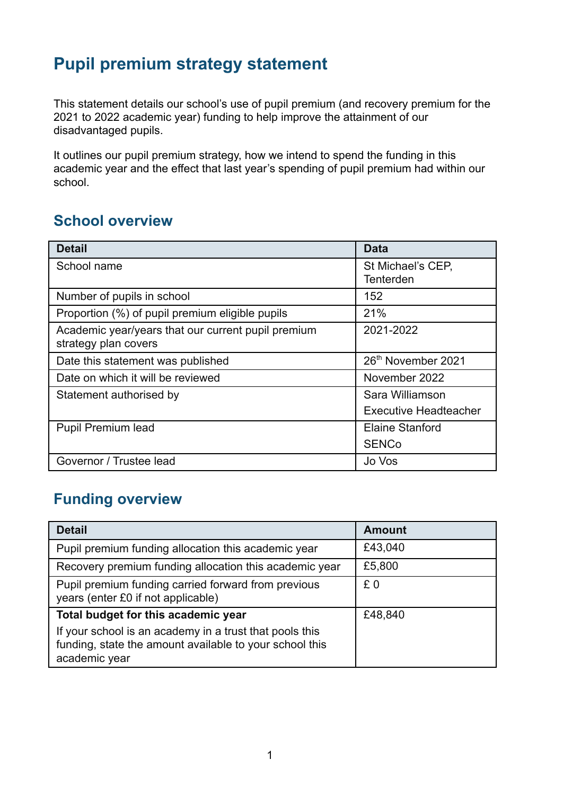# **Pupil premium strategy statement**

This statement details our school's use of pupil premium (and recovery premium for the 2021 to 2022 academic year) funding to help improve the attainment of our disadvantaged pupils.

It outlines our pupil premium strategy, how we intend to spend the funding in this academic year and the effect that last year's spending of pupil premium had within our school.

### **School overview**

| <b>Detail</b>                                                              | <b>Data</b>                    |
|----------------------------------------------------------------------------|--------------------------------|
| School name                                                                | St Michael's CEP,<br>Tenterden |
| Number of pupils in school                                                 | 152                            |
| Proportion (%) of pupil premium eligible pupils                            | 21%                            |
| Academic year/years that our current pupil premium<br>strategy plan covers | 2021-2022                      |
| Date this statement was published                                          | 26th November 2021             |
| Date on which it will be reviewed                                          | November 2022                  |
| Statement authorised by                                                    | Sara Williamson                |
|                                                                            | <b>Executive Headteacher</b>   |
| <b>Pupil Premium lead</b>                                                  | <b>Elaine Stanford</b>         |
|                                                                            | <b>SENCo</b>                   |
| Governor / Trustee lead                                                    | Jo Vos                         |

### **Funding overview**

| <b>Detail</b>                                                                                                                       | <b>Amount</b> |
|-------------------------------------------------------------------------------------------------------------------------------------|---------------|
| Pupil premium funding allocation this academic year                                                                                 | £43,040       |
| Recovery premium funding allocation this academic year                                                                              | £5,800        |
| Pupil premium funding carried forward from previous<br>years (enter £0 if not applicable)                                           | £0            |
| Total budget for this academic year                                                                                                 | £48,840       |
| If your school is an academy in a trust that pools this<br>funding, state the amount available to your school this<br>academic year |               |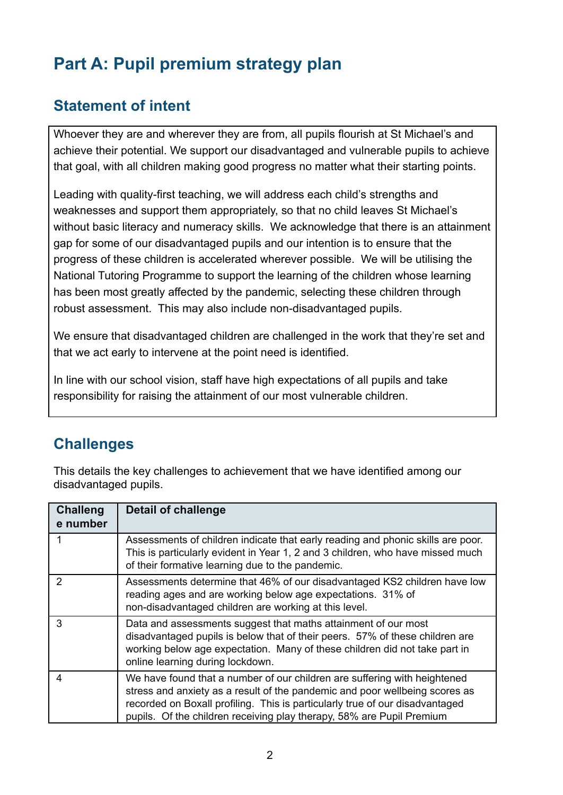# **Part A: Pupil premium strategy plan**

#### **Statement of intent**

Whoever they are and wherever they are from, all pupils flourish at St Michael's and achieve their potential. We support our disadvantaged and vulnerable pupils to achieve that goal, with all children making good progress no matter what their starting points.

Leading with quality-first teaching, we will address each child's strengths and weaknesses and support them appropriately, so that no child leaves St Michael's without basic literacy and numeracy skills. We acknowledge that there is an attainment gap for some of our disadvantaged pupils and our intention is to ensure that the progress of these children is accelerated wherever possible. We will be utilising the National Tutoring Programme to support the learning of the children whose learning has been most greatly affected by the pandemic, selecting these children through robust assessment. This may also include non-disadvantaged pupils.

We ensure that disadvantaged children are challenged in the work that they're set and that we act early to intervene at the point need is identified.

In line with our school vision, staff have high expectations of all pupils and take responsibility for raising the attainment of our most vulnerable children.

#### **Challenges**

This details the key challenges to achievement that we have identified among our disadvantaged pupils.

| <b>Challeng</b><br>e number | Detail of challenge                                                                                                                                                                                                                                                                                               |
|-----------------------------|-------------------------------------------------------------------------------------------------------------------------------------------------------------------------------------------------------------------------------------------------------------------------------------------------------------------|
|                             | Assessments of children indicate that early reading and phonic skills are poor.<br>This is particularly evident in Year 1, 2 and 3 children, who have missed much<br>of their formative learning due to the pandemic.                                                                                             |
| $\mathcal{P}$               | Assessments determine that 46% of our disadvantaged KS2 children have low<br>reading ages and are working below age expectations. 31% of<br>non-disadvantaged children are working at this level.                                                                                                                 |
| 3                           | Data and assessments suggest that maths attainment of our most<br>disadvantaged pupils is below that of their peers. 57% of these children are<br>working below age expectation. Many of these children did not take part in<br>online learning during lockdown.                                                  |
| 4                           | We have found that a number of our children are suffering with heightened<br>stress and anxiety as a result of the pandemic and poor wellbeing scores as<br>recorded on Boxall profiling. This is particularly true of our disadvantaged<br>pupils. Of the children receiving play therapy, 58% are Pupil Premium |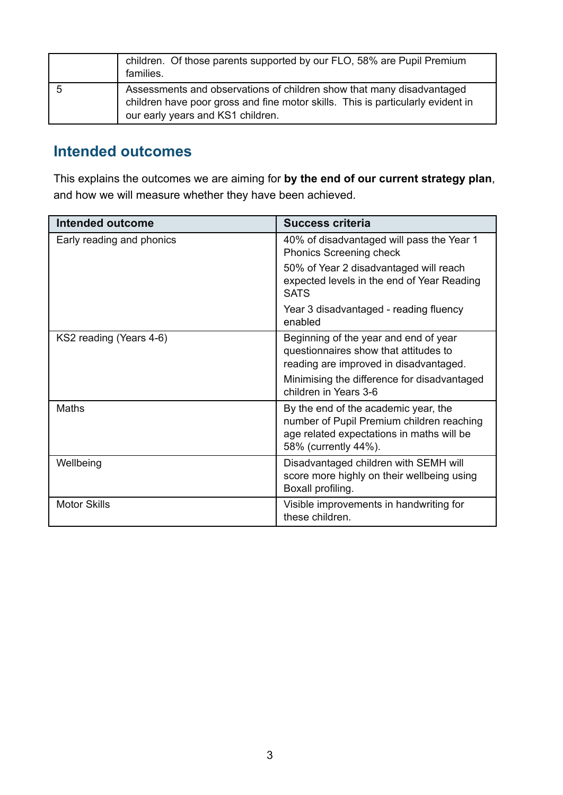|    | children. Of those parents supported by our FLO, 58% are Pupil Premium<br>families.                                                                                                           |
|----|-----------------------------------------------------------------------------------------------------------------------------------------------------------------------------------------------|
| 'n | Assessments and observations of children show that many disadvantaged<br>children have poor gross and fine motor skills. This is particularly evident in<br>our early years and KS1 children. |

#### **Intended outcomes**

This explains the outcomes we are aiming for **by the end of our current strategy plan**, and how we will measure whether they have been achieved.

| <b>Intended outcome</b>   | Success criteria                                                                                                                                       |
|---------------------------|--------------------------------------------------------------------------------------------------------------------------------------------------------|
| Early reading and phonics | 40% of disadvantaged will pass the Year 1<br><b>Phonics Screening check</b>                                                                            |
|                           | 50% of Year 2 disadvantaged will reach<br>expected levels in the end of Year Reading<br><b>SATS</b>                                                    |
|                           | Year 3 disadvantaged - reading fluency<br>enabled                                                                                                      |
| KS2 reading (Years 4-6)   | Beginning of the year and end of year<br>questionnaires show that attitudes to<br>reading are improved in disadvantaged.                               |
|                           | Minimising the difference for disadvantaged<br>children in Years 3-6                                                                                   |
| Maths                     | By the end of the academic year, the<br>number of Pupil Premium children reaching<br>age related expectations in maths will be<br>58% (currently 44%). |
| Wellbeing                 | Disadvantaged children with SEMH will<br>score more highly on their wellbeing using<br>Boxall profiling.                                               |
| <b>Motor Skills</b>       | Visible improvements in handwriting for<br>these children.                                                                                             |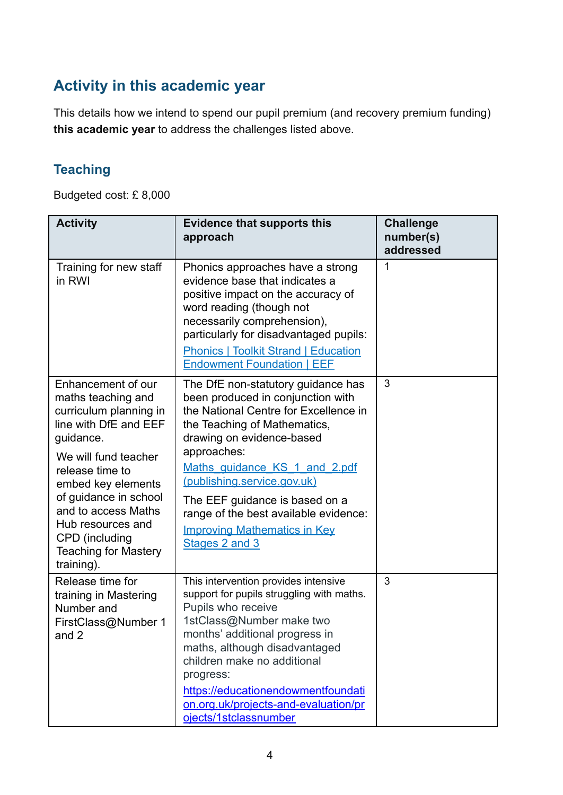## **Activity in this academic year**

This details how we intend to spend our pupil premium (and recovery premium funding) **this academic year** to address the challenges listed above.

#### **Teaching**

Budgeted cost: £ 8,000

| <b>Activity</b>                                                                                                                                                                                                                                                                                               | <b>Evidence that supports this</b><br>approach                                                                                                                                                                                                                                                                                                                                                   | <b>Challenge</b><br>number(s)<br>addressed |
|---------------------------------------------------------------------------------------------------------------------------------------------------------------------------------------------------------------------------------------------------------------------------------------------------------------|--------------------------------------------------------------------------------------------------------------------------------------------------------------------------------------------------------------------------------------------------------------------------------------------------------------------------------------------------------------------------------------------------|--------------------------------------------|
| Training for new staff<br>in RWI                                                                                                                                                                                                                                                                              | Phonics approaches have a strong<br>evidence base that indicates a<br>positive impact on the accuracy of<br>word reading (though not<br>necessarily comprehension),<br>particularly for disadvantaged pupils:<br><b>Phonics   Toolkit Strand   Education</b><br><b>Endowment Foundation   EEF</b>                                                                                                | 1                                          |
| Enhancement of our<br>maths teaching and<br>curriculum planning in<br>line with DfE and EEF<br>guidance.<br>We will fund teacher<br>release time to<br>embed key elements<br>of guidance in school<br>and to access Maths<br>Hub resources and<br>CPD (including<br><b>Teaching for Mastery</b><br>training). | The DfE non-statutory guidance has<br>been produced in conjunction with<br>the National Centre for Excellence in<br>the Teaching of Mathematics,<br>drawing on evidence-based<br>approaches:<br>Maths guidance KS 1 and 2.pdf<br>(publishing.service.gov.uk)<br>The EEF guidance is based on a<br>range of the best available evidence:<br><b>Improving Mathematics in Key</b><br>Stages 2 and 3 | 3                                          |
| Release time for<br>training in Mastering<br>Number and<br>FirstClass@Number 1<br>and 2                                                                                                                                                                                                                       | This intervention provides intensive<br>support for pupils struggling with maths.<br>Pupils who receive<br>1stClass@Number make two<br>months' additional progress in<br>maths, although disadvantaged<br>children make no additional<br>progress:<br>https://educationendowmentfoundati<br>on.org.uk/projects-and-evaluation/pr<br>ojects/1stclassnumber                                        | 3                                          |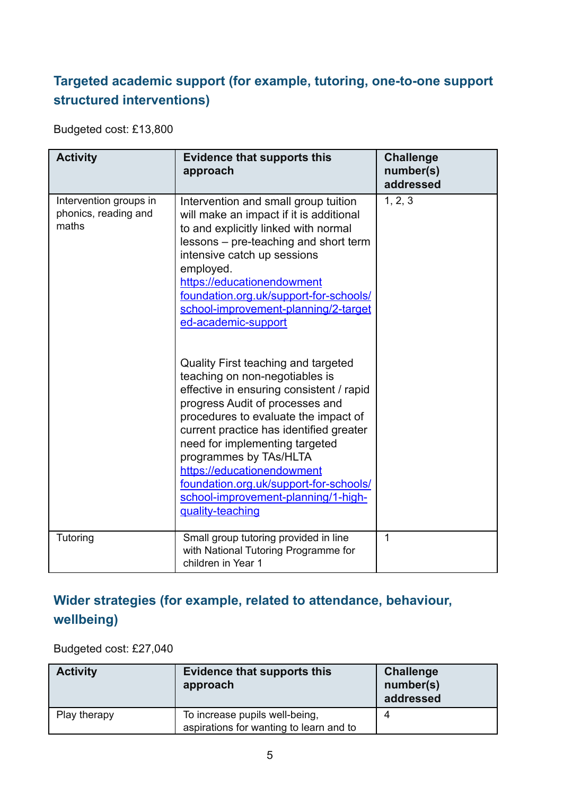### **Targeted academic support (for example, tutoring, one-to-one support structured interventions)**

Budgeted cost: £13,800

| <b>Activity</b>                                         | <b>Evidence that supports this</b><br>approach                                                                                                                                                                                                                                                                                                                                                                                                                                                                                                                                                                                                                                           | <b>Challenge</b><br>number(s)<br>addressed |
|---------------------------------------------------------|------------------------------------------------------------------------------------------------------------------------------------------------------------------------------------------------------------------------------------------------------------------------------------------------------------------------------------------------------------------------------------------------------------------------------------------------------------------------------------------------------------------------------------------------------------------------------------------------------------------------------------------------------------------------------------------|--------------------------------------------|
| Intervention groups in<br>phonics, reading and<br>maths | Intervention and small group tuition<br>will make an impact if it is additional<br>to and explicitly linked with normal<br>lessons – pre-teaching and short term<br>intensive catch up sessions<br>employed.<br>https://educationendowment<br>foundation.org.uk/support-for-schools/<br>school-improvement-planning/2-target<br>ed-academic-support<br>Quality First teaching and targeted<br>teaching on non-negotiables is<br>effective in ensuring consistent / rapid<br>progress Audit of processes and<br>procedures to evaluate the impact of<br>current practice has identified greater<br>need for implementing targeted<br>programmes by TAs/HLTA<br>https://educationendowment | 1, 2, 3                                    |
|                                                         | foundation.org.uk/support-for-schools/<br>school-improvement-planning/1-high-<br>quality-teaching                                                                                                                                                                                                                                                                                                                                                                                                                                                                                                                                                                                        |                                            |
| Tutoring                                                | Small group tutoring provided in line<br>with National Tutoring Programme for<br>children in Year 1                                                                                                                                                                                                                                                                                                                                                                                                                                                                                                                                                                                      | $\mathbf{1}$                               |

### **Wider strategies (for example, related to attendance, behaviour, wellbeing)**

Budgeted cost: £27,040

| <b>Activity</b> | <b>Evidence that supports this</b><br>approach                            | <b>Challenge</b><br>number(s)<br>addressed |
|-----------------|---------------------------------------------------------------------------|--------------------------------------------|
| Play therapy    | To increase pupils well-being,<br>aspirations for wanting to learn and to | 4                                          |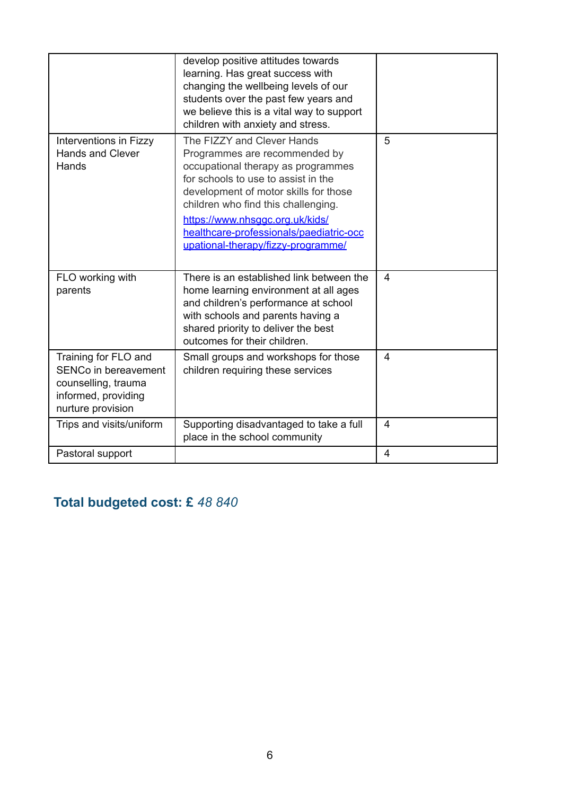|                                                                                                                 | develop positive attitudes towards<br>learning. Has great success with<br>changing the wellbeing levels of our<br>students over the past few years and<br>we believe this is a vital way to support<br>children with anxiety and stress.                                                                                                     |                |
|-----------------------------------------------------------------------------------------------------------------|----------------------------------------------------------------------------------------------------------------------------------------------------------------------------------------------------------------------------------------------------------------------------------------------------------------------------------------------|----------------|
| Interventions in Fizzy<br><b>Hands and Clever</b><br>Hands                                                      | The FIZZY and Clever Hands<br>Programmes are recommended by<br>occupational therapy as programmes<br>for schools to use to assist in the<br>development of motor skills for those<br>children who find this challenging.<br>https://www.nhsqqc.org.uk/kids/<br>healthcare-professionals/paediatric-occ<br>upational-therapy/fizzy-programme/ | 5              |
| FLO working with<br>parents                                                                                     | There is an established link between the<br>home learning environment at all ages<br>and children's performance at school<br>with schools and parents having a<br>shared priority to deliver the best<br>outcomes for their children.                                                                                                        | $\overline{4}$ |
| Training for FLO and<br>SENCo in bereavement<br>counselling, trauma<br>informed, providing<br>nurture provision | Small groups and workshops for those<br>children requiring these services                                                                                                                                                                                                                                                                    | $\overline{4}$ |
| Trips and visits/uniform                                                                                        | Supporting disadvantaged to take a full<br>place in the school community                                                                                                                                                                                                                                                                     | $\overline{4}$ |
| Pastoral support                                                                                                |                                                                                                                                                                                                                                                                                                                                              | 4              |

## **Total budgeted cost: £** *48 840*